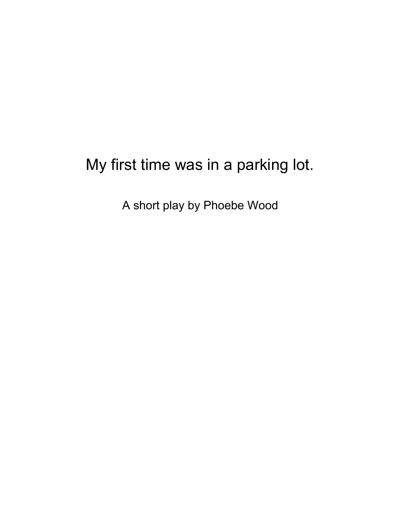## My first time was in a parking lot.

A short play by Phoebe Wood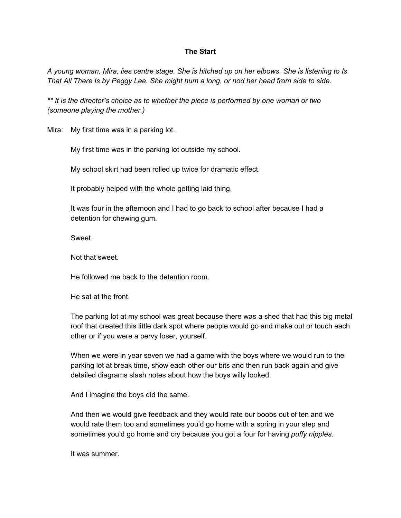## **The Start**

A young woman, Mira, lies centre stage. She is hitched up on her elbows. She is listening to Is That All There Is by Peggy Lee. She might hum a long, or nod her head from side to side.

*\*\* It is the director's choice as to whether the piece is performed by one woman or two (someone playing the mother.)*

Mira: My first time was in a parking lot.

My first time was in the parking lot outside my school.

My school skirt had been rolled up twice for dramatic effect.

It probably helped with the whole getting laid thing.

It was four in the afternoon and I had to go back to school after because I had a detention for chewing gum.

Sweet.

Not that sweet.

He followed me back to the detention room.

He sat at the front.

The parking lot at my school was great because there was a shed that had this big metal roof that created this little dark spot where people would go and make out or touch each other or if you were a pervy loser, yourself.

When we were in year seven we had a game with the boys where we would run to the parking lot at break time, show each other our bits and then run back again and give detailed diagrams slash notes about how the boys willy looked.

And I imagine the boys did the same.

And then we would give feedback and they would rate our boobs out of ten and we would rate them too and sometimes you'd go home with a spring in your step and sometimes you'd go home and cry because you got a four for having *puffy nipples.*

It was summer.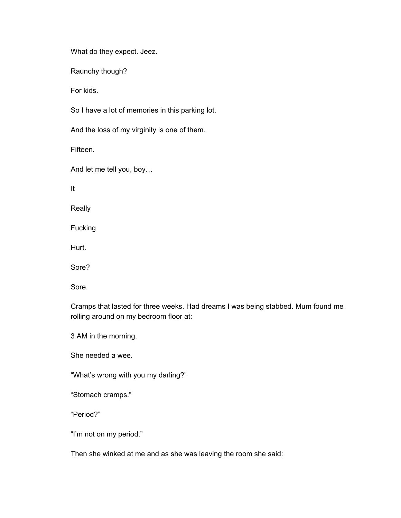What do they expect. Jeez.

Raunchy though?

For kids.

So I have a lot of memories in this parking lot.

And the loss of my virginity is one of them.

Fifteen.

And let me tell you, boy…

It

Really

Fucking

Hurt.

Sore?

Sore.

Cramps that lasted for three weeks. Had dreams I was being stabbed. Mum found me rolling around on my bedroom floor at:

3 AM in the morning.

She needed a wee.

"What's wrong with you my darling?"

"Stomach cramps."

"Period?"

"I'm not on my period."

Then she winked at me and as she was leaving the room she said: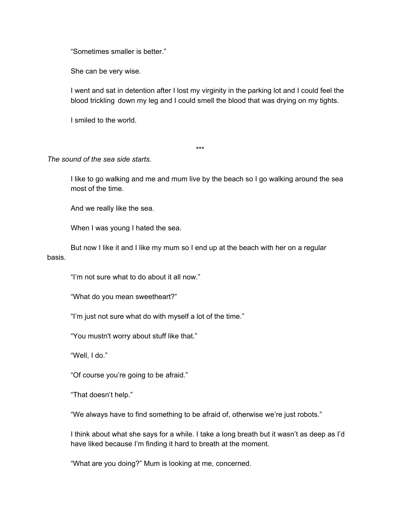"Sometimes smaller is better."

She can be very wise.

I went and sat in detention after I lost my virginity in the parking lot and I could feel the blood trickling down my leg and I could smell the blood that was drying on my tights.

I smiled to the world.

\*\*\*

## *The sound of the sea side starts.*

I like to go walking and me and mum live by the beach so I go walking around the sea most of the time.

And we really like the sea.

When I was young I hated the sea.

But now I like it and I like my mum so I end up at the beach with her on a regular basis.

"I'm not sure what to do about it all now."

"What do you mean sweetheart?"

"I'm just not sure what do with myself a lot of the time."

"You mustn't worry about stuff like that."

"Well, I do."

"Of course you're going to be afraid."

"That doesn't help."

"We always have to find something to be afraid of, otherwise we're just robots."

I think about what she says for a while. I take a long breath but it wasn't as deep as I'd have liked because I'm finding it hard to breath at the moment.

"What are you doing?" Mum is looking at me, concerned.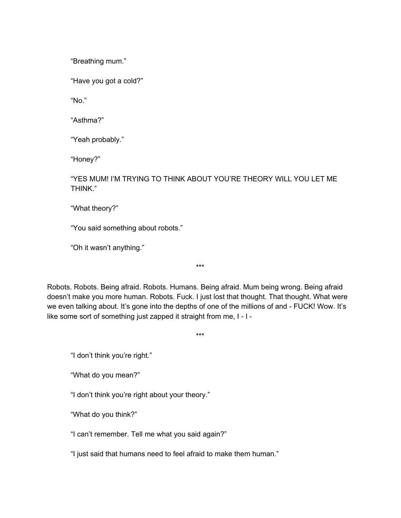"Breathing mum."

"Have you got a cold?"

"No."

"Asthma?"

"Yeah probably."

"Honey?"

"YES MUM! I'M TRYING TO THINK ABOUT YOU'RE THEORY WILL YOU LET ME THINK."

"What theory?"

"You said something about robots."

"Oh it wasn't anything."

Robots. Robots. Being afraid. Robots. Humans. Being afraid. Mum being wrong. Being afraid doesn't make you more human. Robots. Fuck. I just lost that thought. That thought. What were we even talking about. It's gone into the depths of one of the millions of and - FUCK! Wow. It's like some sort of something just zapped it straight from me, I - I -

\*\*\*

\*\*\*

"I don't think you're right."

"What do you mean?"

"I don't think you're right about your theory."

"What do you think?"

"I can't remember. Tell me what you said again?"

"I just said that humans need to feel afraid to make them human."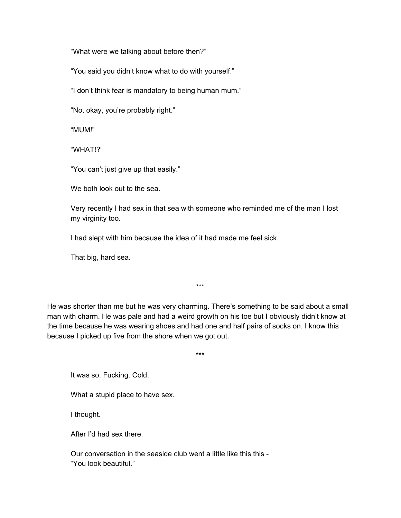"What were we talking about before then?"

"You said you didn't know what to do with yourself."

"I don't think fear is mandatory to being human mum."

"No, okay, you're probably right."

"MUM!"

"WHAT!?"

"You can't just give up that easily."

We both look out to the sea.

Very recently I had sex in that sea with someone who reminded me of the man I lost my virginity too.

I had slept with him because the idea of it had made me feel sick.

That big, hard sea.

He was shorter than me but he was very charming. There's something to be said about a small man with charm. He was pale and had a weird growth on his toe but I obviously didn't know at the time because he was wearing shoes and had one and half pairs of socks on. I know this because I picked up five from the shore when we got out.

\*\*\*

\*\*\*

It was so. Fucking. Cold.

What a stupid place to have sex.

I thought.

After I'd had sex there.

Our conversation in the seaside club went a little like this this -"You look beautiful."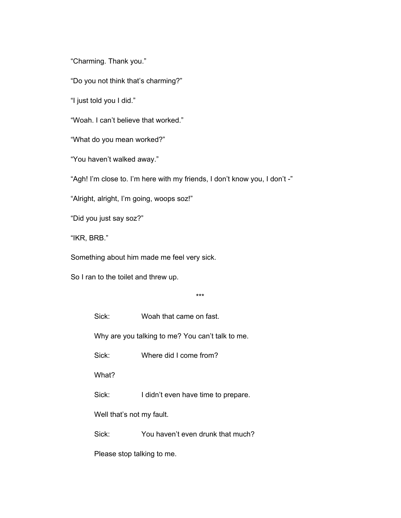"Charming. Thank you."

"Do you not think that's charming?"

"I just told you I did."

"Woah. I can't believe that worked."

"What do you mean worked?"

"You haven't walked away."

"Agh! I'm close to. I'm here with my friends, I don't know you, I don't -"

"Alright, alright, I'm going, woops soz!"

"Did you just say soz?"

"IKR, BRB."

Something about him made me feel very sick.

So I ran to the toilet and threw up.

\*\*\*

Sick: Woah that came on fast.

Why are you talking to me? You can't talk to me.

Sick: Where did I come from?

What?

Sick: I didn't even have time to prepare.

Well that's not my fault.

Sick: You haven't even drunk that much?

Please stop talking to me.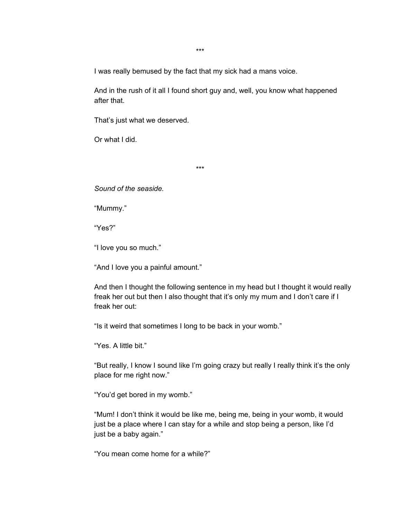I was really bemused by the fact that my sick had a mans voice.

And in the rush of it all I found short guy and, well, you know what happened after that.

That's just what we deserved.

Or what I did.

\*\*\*

*Sound of the seaside.*

"Mummy."

"Yes?"

"I love you so much."

"And I love you a painful amount."

And then I thought the following sentence in my head but I thought it would really freak her out but then I also thought that it's only my mum and I don't care if I freak her out:

"Is it weird that sometimes I long to be back in your womb."

"Yes. A little bit."

"But really, I know I sound like I'm going crazy but really I really think it's the only place for me right now."

"You'd get bored in my womb."

"Mum! I don't think it would be like me, being me, being in your womb, it would just be a place where I can stay for a while and stop being a person, like I'd just be a baby again."

"You mean come home for a while?"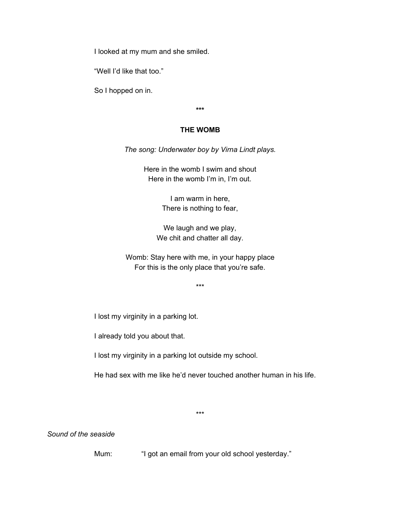I looked at my mum and she smiled.

"Well I'd like that too."

So I hopped on in.

**\*\*\***

## **THE WOMB**

*The song: Underwater boy by Virna Lindt plays.*

Here in the womb I swim and shout Here in the womb I'm in, I'm out.

> I am warm in here, There is nothing to fear,

We laugh and we play, We chit and chatter all day.

Womb: Stay here with me, in your happy place For this is the only place that you're safe.

\*\*\*

I lost my virginity in a parking lot.

I already told you about that.

I lost my virginity in a parking lot outside my school.

He had sex with me like he'd never touched another human in his life.

\*\*\*

*Sound of the seaside*

Mum: "I got an email from your old school yesterday."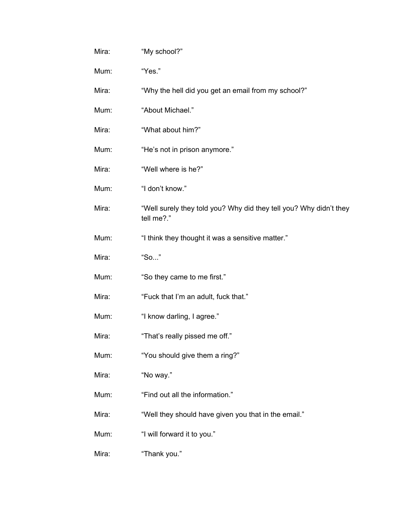| Mira: | "My school?"                                                                     |
|-------|----------------------------------------------------------------------------------|
| Mum:  | "Yes."                                                                           |
| Mira: | "Why the hell did you get an email from my school?"                              |
| Mum:  | "About Michael."                                                                 |
| Mira: | "What about him?"                                                                |
| Mum:  | "He's not in prison anymore."                                                    |
| Mira: | "Well where is he?"                                                              |
| Mum:  | "I don't know."                                                                  |
| Mira: | "Well surely they told you? Why did they tell you? Why didn't they<br>tell me?." |
| Mum:  | "I think they thought it was a sensitive matter."                                |
| Mira: | "So"                                                                             |
| Mum:  | "So they came to me first."                                                      |
| Mira: | "Fuck that I'm an adult, fuck that."                                             |
| Mum:  | "I know darling, I agree."                                                       |
| Mira: | "That's really pissed me off."                                                   |
| Mum:  | "You should give them a ring?"                                                   |
| Mira: | "No way."                                                                        |
| Mum:  | "Find out all the information."                                                  |
| Mira: | "Well they should have given you that in the email."                             |
| Mum:  | "I will forward it to you."                                                      |
| Mira: | "Thank you."                                                                     |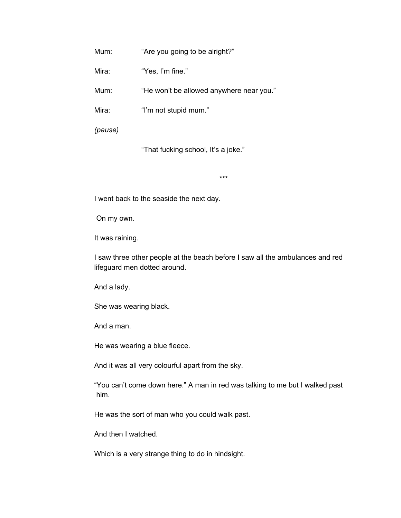Mum: "Are you going to be alright?"

Mira: "Yes, I'm fine."

Mum: "He won't be allowed anywhere near you."

Mira: "I'm not stupid mum."

*(pause)*

"That fucking school, It's a joke."

\*\*\*

I went back to the seaside the next day.

On my own.

It was raining.

I saw three other people at the beach before I saw all the ambulances and red lifeguard men dotted around.

And a lady.

She was wearing black.

And a man.

He was wearing a blue fleece.

And it was all very colourful apart from the sky.

"You can't come down here." A man in red was talking to me but I walked past him.

He was the sort of man who you could walk past.

And then I watched.

Which is a very strange thing to do in hindsight.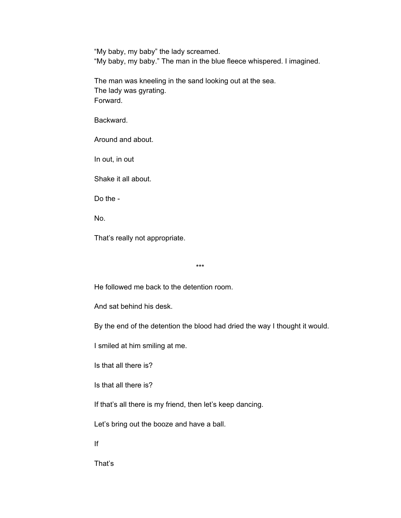"My baby, my baby" the lady screamed. "My baby, my baby." The man in the blue fleece whispered. I imagined.

The man was kneeling in the sand looking out at the sea. The lady was gyrating. Forward.

Backward.

Around and about.

In out, in out

Shake it all about.

Do the -

No.

That's really not appropriate.

\*\*\*

He followed me back to the detention room.

And sat behind his desk.

By the end of the detention the blood had dried the way I thought it would.

I smiled at him smiling at me.

Is that all there is?

Is that all there is?

If that's all there is my friend, then let's keep dancing.

Let's bring out the booze and have a ball.

If

That's